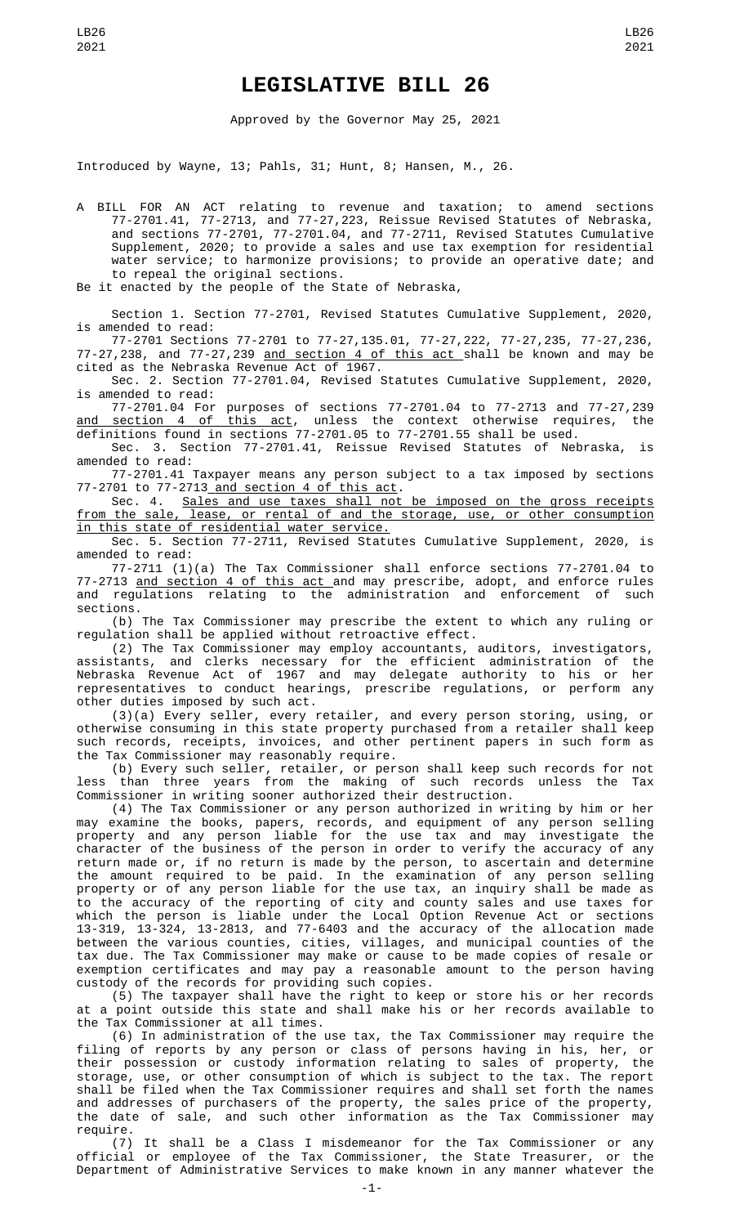## **LEGISLATIVE BILL 26**

Approved by the Governor May 25, 2021

Introduced by Wayne, 13; Pahls, 31; Hunt, 8; Hansen, M., 26.

A BILL FOR AN ACT relating to revenue and taxation; to amend sections 77-2701.41, 77-2713, and 77-27,223, Reissue Revised Statutes of Nebraska, and sections 77-2701, 77-2701.04, and 77-2711, Revised Statutes Cumulative Supplement, 2020; to provide a sales and use tax exemption for residential water service; to harmonize provisions; to provide an operative date; and to repeal the original sections.

Be it enacted by the people of the State of Nebraska,

Section 1. Section 77-2701, Revised Statutes Cumulative Supplement, 2020, is amended to read:

77-2701 Sections 77-2701 to 77-27,135.01, 77-27,222, 77-27,235, 77-27,236, 77-27,238, and 77-27,239 and section 4 of this act shall be known and may be cited as the Nebraska Revenue Act of 1967.

Sec. 2. Section 77-2701.04, Revised Statutes Cumulative Supplement, 2020, is amended to read:

77-2701.04 For purposes of sections 77-2701.04 to 77-2713 and 77-27,239 <u>and section 4 of this act</u>, unless the context otherwise requires, the definitions found in sections 77-2701.05 to 77-2701.55 shall be used.

Sec. 3. Section 77-2701.41, Reissue Revised Statutes of Nebraska, is amended to read:

77-2701.41 Taxpayer means any person subject to a tax imposed by sections 77-2701 to 77-2713 and section 4 of this act.

Sec. 4. Sales and use taxes shall not be imposed on the gross receipts from the sale, lease, or rental of and the storage, use, or other consumption in this state of residential water service.

Sec. 5. Section 77-2711, Revised Statutes Cumulative Supplement, 2020, is amended to read:

77-2711 (1)(a) The Tax Commissioner shall enforce sections 77-2701.04 to 77-2713 <u>and section 4 of this act </u>and may prescribe, adopt, and enforce rules and regulations relating to the administration and enforcement of such sections.

(b) The Tax Commissioner may prescribe the extent to which any ruling or regulation shall be applied without retroactive effect.

(2) The Tax Commissioner may employ accountants, auditors, investigators, assistants, and clerks necessary for the efficient administration of the Nebraska Revenue Act of 1967 and may delegate authority to his or her representatives to conduct hearings, prescribe regulations, or perform any other duties imposed by such act.

(3)(a) Every seller, every retailer, and every person storing, using, or otherwise consuming in this state property purchased from a retailer shall keep such records, receipts, invoices, and other pertinent papers in such form as the Tax Commissioner may reasonably require.

(b) Every such seller, retailer, or person shall keep such records for not less than three years from the making of such records unless the Tax Commissioner in writing sooner authorized their destruction.

(4) The Tax Commissioner or any person authorized in writing by him or her may examine the books, papers, records, and equipment of any person selling property and any person liable for the use tax and may investigate the character of the business of the person in order to verify the accuracy of any return made or, if no return is made by the person, to ascertain and determine the amount required to be paid. In the examination of any person selling property or of any person liable for the use tax, an inquiry shall be made as to the accuracy of the reporting of city and county sales and use taxes for which the person is liable under the Local Option Revenue Act or sections 13-319, 13-324, 13-2813, and 77-6403 and the accuracy of the allocation made between the various counties, cities, villages, and municipal counties of the tax due. The Tax Commissioner may make or cause to be made copies of resale or exemption certificates and may pay a reasonable amount to the person having custody of the records for providing such copies.

(5) The taxpayer shall have the right to keep or store his or her records at a point outside this state and shall make his or her records available to the Tax Commissioner at all times.

(6) In administration of the use tax, the Tax Commissioner may require the filing of reports by any person or class of persons having in his, her, or their possession or custody information relating to sales of property, the storage, use, or other consumption of which is subject to the tax. The report shall be filed when the Tax Commissioner requires and shall set forth the names and addresses of purchasers of the property, the sales price of the property, the date of sale, and such other information as the Tax Commissioner may require.

(7) It shall be a Class I misdemeanor for the Tax Commissioner or any official or employee of the Tax Commissioner, the State Treasurer, or the Department of Administrative Services to make known in any manner whatever the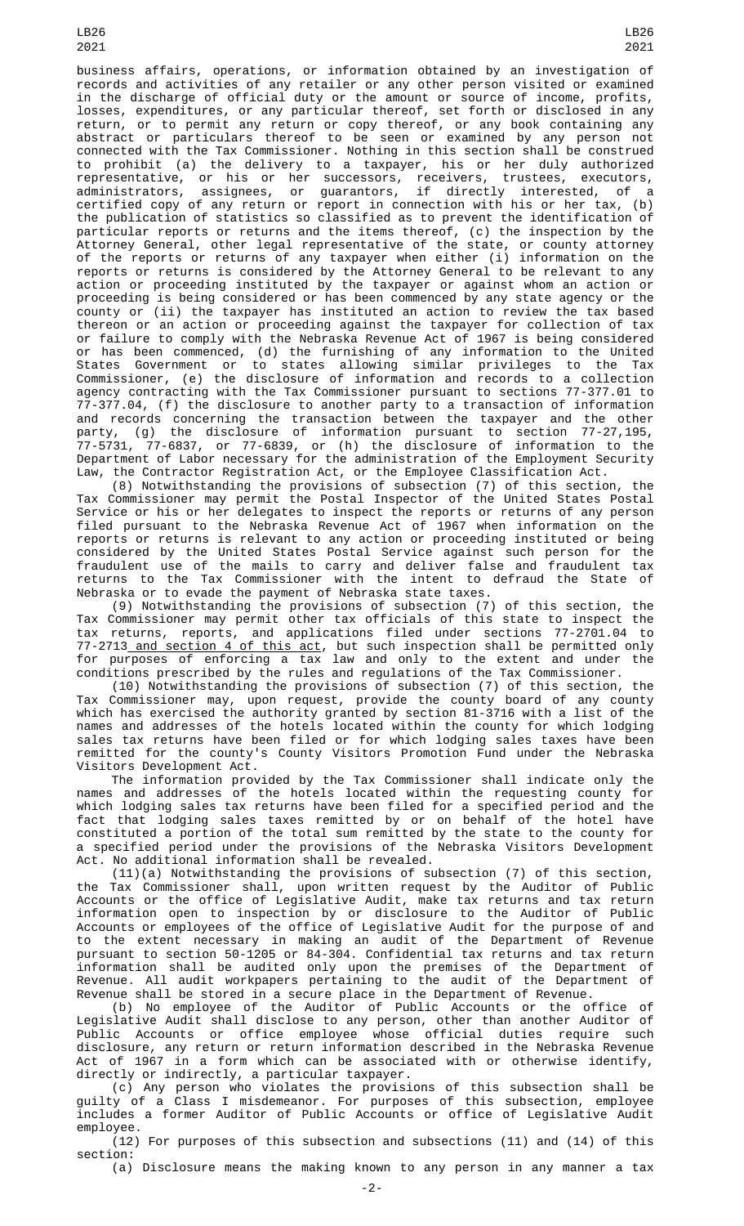LB26 2021

business affairs, operations, or information obtained by an investigation of records and activities of any retailer or any other person visited or examined in the discharge of official duty or the amount or source of income, profits, losses, expenditures, or any particular thereof, set forth or disclosed in any return, or to permit any return or copy thereof, or any book containing any abstract or particulars thereof to be seen or examined by any person not connected with the Tax Commissioner. Nothing in this section shall be construed to prohibit (a) the delivery to a taxpayer, his or her duly authorized representative, or his or her successors, receivers, trustees, executors, administrators, assignees, or guarantors, if directly interested, of a certified copy of any return or report in connection with his or her tax, (b) the publication of statistics so classified as to prevent the identification of particular reports or returns and the items thereof, (c) the inspection by the Attorney General, other legal representative of the state, or county attorney of the reports or returns of any taxpayer when either (i) information on the reports or returns is considered by the Attorney General to be relevant to any action or proceeding instituted by the taxpayer or against whom an action or proceeding is being considered or has been commenced by any state agency or the county or (ii) the taxpayer has instituted an action to review the tax based thereon or an action or proceeding against the taxpayer for collection of tax or failure to comply with the Nebraska Revenue Act of 1967 is being considered or has been commenced, (d) the furnishing of any information to the United States Government or to states allowing similar privileges to the Tax Commissioner, (e) the disclosure of information and records to a collection agency contracting with the Tax Commissioner pursuant to sections 77-377.01 to 77-377.04, (f) the disclosure to another party to a transaction of information and records concerning the transaction between the taxpayer and the other party, (g) the disclosure of information pursuant to section 77-27,195, 77-5731, 77-6837, or 77-6839, or (h) the disclosure of information to the Department of Labor necessary for the administration of the Employment Security Law, the Contractor Registration Act, or the Employee Classification Act.

(8) Notwithstanding the provisions of subsection (7) of this section, the Tax Commissioner may permit the Postal Inspector of the United States Postal Service or his or her delegates to inspect the reports or returns of any person filed pursuant to the Nebraska Revenue Act of 1967 when information on the reports or returns is relevant to any action or proceeding instituted or being considered by the United States Postal Service against such person for the fraudulent use of the mails to carry and deliver false and fraudulent tax returns to the Tax Commissioner with the intent to defraud the State of Nebraska or to evade the payment of Nebraska state taxes.

(9) Notwithstanding the provisions of subsection (7) of this section, the Tax Commissioner may permit other tax officials of this state to inspect the tax returns, reports, and applications filed under sections 77-2701.04 to 77-2713 and section 4 of this act, but such inspection shall be permitted only for purposes of enforcing a tax law and only to the extent and under the conditions prescribed by the rules and regulations of the Tax Commissioner.

(10) Notwithstanding the provisions of subsection (7) of this section, the Tax Commissioner may, upon request, provide the county board of any county which has exercised the authority granted by section 81-3716 with a list of the names and addresses of the hotels located within the county for which lodging sales tax returns have been filed or for which lodging sales taxes have been remitted for the county's County Visitors Promotion Fund under the Nebraska Visitors Development Act.

The information provided by the Tax Commissioner shall indicate only the names and addresses of the hotels located within the requesting county for which lodging sales tax returns have been filed for a specified period and the fact that lodging sales taxes remitted by or on behalf of the hotel have constituted a portion of the total sum remitted by the state to the county for a specified period under the provisions of the Nebraska Visitors Development Act. No additional information shall be revealed.

(11)(a) Notwithstanding the provisions of subsection (7) of this section, the Tax Commissioner shall, upon written request by the Auditor of Public Accounts or the office of Legislative Audit, make tax returns and tax return information open to inspection by or disclosure to the Auditor of Public Accounts or employees of the office of Legislative Audit for the purpose of and to the extent necessary in making an audit of the Department of Revenue pursuant to section 50-1205 or 84-304. Confidential tax returns and tax return information shall be audited only upon the premises of the Department of Revenue. All audit workpapers pertaining to the audit of the Department of Revenue shall be stored in a secure place in the Department of Revenue.

(b) No employee of the Auditor of Public Accounts or the office of Legislative Audit shall disclose to any person, other than another Auditor of Public Accounts or office employee whose official duties require such disclosure, any return or return information described in the Nebraska Revenue Act of 1967 in a form which can be associated with or otherwise identify, directly or indirectly, a particular taxpayer.

(c) Any person who violates the provisions of this subsection shall be guilty of a Class I misdemeanor. For purposes of this subsection, employee includes a former Auditor of Public Accounts or office of Legislative Audit employee.

 $(12)$  For purposes of this subsection and subsections  $(11)$  and  $(14)$  of this section:

(a) Disclosure means the making known to any person in any manner a tax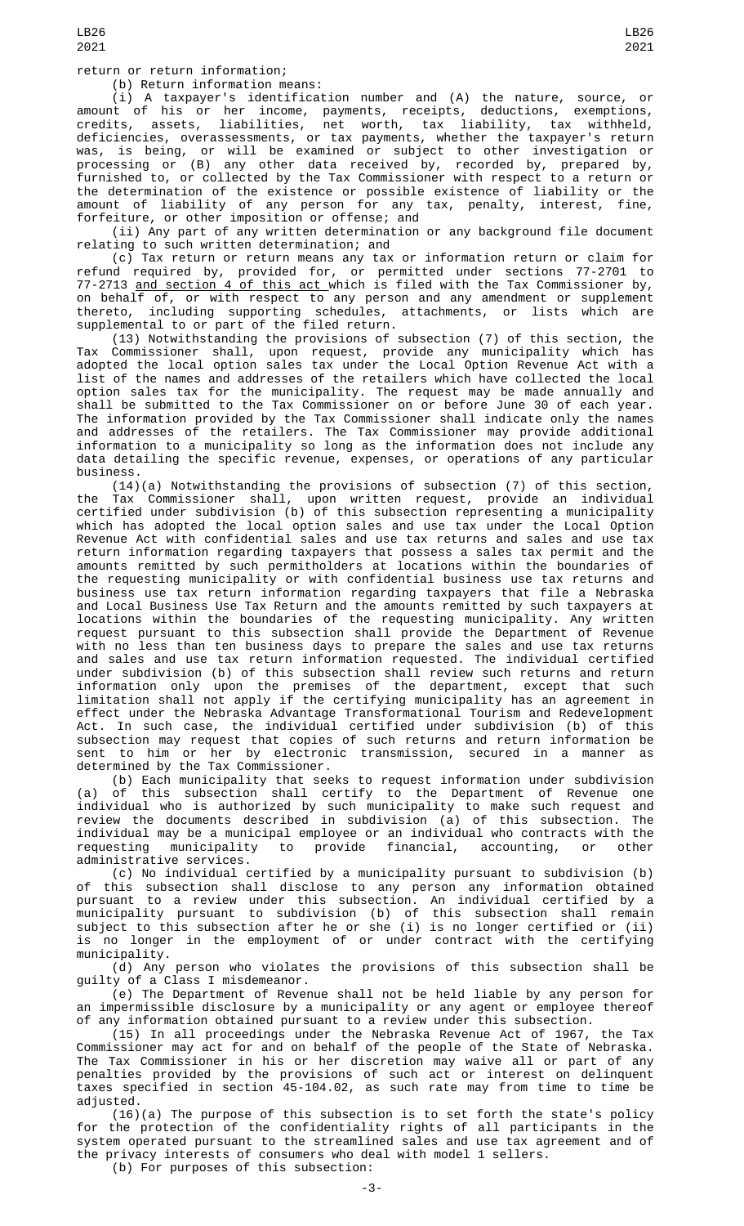return or return information;

(b) Return information means:

(i) A taxpayer's identification number and (A) the nature, source, or amount of his or her income, payments, receipts, deductions, exemptions, credits, assets, liabilities, net worth, tax liability, tax withheld, deficiencies, overassessments, or tax payments, whether the taxpayer's return was, is being, or will be examined or subject to other investigation or processing or (B) any other data received by, recorded by, prepared by, furnished to, or collected by the Tax Commissioner with respect to a return or the determination of the existence or possible existence of liability or the amount of liability of any person for any tax, penalty, interest, fine, forfeiture, or other imposition or offense; and

(ii) Any part of any written determination or any background file document relating to such written determination; and

(c) Tax return or return means any tax or information return or claim for refund required by, provided for, or permitted under sections 77-2701 to 77-2713 and section 4 of this act which is filed with the Tax Commissioner by, on behalf of, or with respect to any person and any amendment or supplement thereto, including supporting schedules, attachments, or lists which are supplemental to or part of the filed return.

(13) Notwithstanding the provisions of subsection (7) of this section, the Tax Commissioner shall, upon request, provide any municipality which has adopted the local option sales tax under the Local Option Revenue Act with a list of the names and addresses of the retailers which have collected the local option sales tax for the municipality. The request may be made annually and shall be submitted to the Tax Commissioner on or before June 30 of each year. The information provided by the Tax Commissioner shall indicate only the names and addresses of the retailers. The Tax Commissioner may provide additional information to a municipality so long as the information does not include any data detailing the specific revenue, expenses, or operations of any particular business.

(14)(a) Notwithstanding the provisions of subsection (7) of this section, the Tax Commissioner shall, upon written request, provide an individual certified under subdivision (b) of this subsection representing a municipality which has adopted the local option sales and use tax under the Local Option Revenue Act with confidential sales and use tax returns and sales and use tax return information regarding taxpayers that possess a sales tax permit and the amounts remitted by such permitholders at locations within the boundaries of the requesting municipality or with confidential business use tax returns and business use tax return information regarding taxpayers that file a Nebraska and Local Business Use Tax Return and the amounts remitted by such taxpayers at locations within the boundaries of the requesting municipality. Any written request pursuant to this subsection shall provide the Department of Revenue with no less than ten business days to prepare the sales and use tax returns and sales and use tax return information requested. The individual certified under subdivision (b) of this subsection shall review such returns and return information only upon the premises of the department, except that such limitation shall not apply if the certifying municipality has an agreement in effect under the Nebraska Advantage Transformational Tourism and Redevelopment Act. In such case, the individual certified under subdivision (b) of this subsection may request that copies of such returns and return information be sent to him or her by electronic transmission, secured in a manner as determined by the Tax Commissioner.

(b) Each municipality that seeks to request information under subdivision (a) of this subsection shall certify to the Department of Revenue one individual who is authorized by such municipality to make such request and review the documents described in subdivision (a) of this subsection. The individual may be a municipal employee or an individual who contracts with the requesting municipality to provide financial, accounting, or other administrative services.

(c) No individual certified by a municipality pursuant to subdivision (b) of this subsection shall disclose to any person any information obtained pursuant to a review under this subsection. An individual certified by a municipality pursuant to subdivision (b) of this subsection shall remain subject to this subsection after he or she (i) is no longer certified or (ii) is no longer in the employment of or under contract with the certifying municipality.

(d) Any person who violates the provisions of this subsection shall be guilty of a Class I misdemeanor.

(e) The Department of Revenue shall not be held liable by any person for an impermissible disclosure by a municipality or any agent or employee thereof of any information obtained pursuant to a review under this subsection.

(15) In all proceedings under the Nebraska Revenue Act of 1967, the Tax Commissioner may act for and on behalf of the people of the State of Nebraska. The Tax Commissioner in his or her discretion may waive all or part of any penalties provided by the provisions of such act or interest on delinquent taxes specified in section 45-104.02, as such rate may from time to time be adjusted.

(16)(a) The purpose of this subsection is to set forth the state's policy for the protection of the confidentiality rights of all participants in the system operated pursuant to the streamlined sales and use tax agreement and of the privacy interests of consumers who deal with model 1 sellers.

(b) For purposes of this subsection: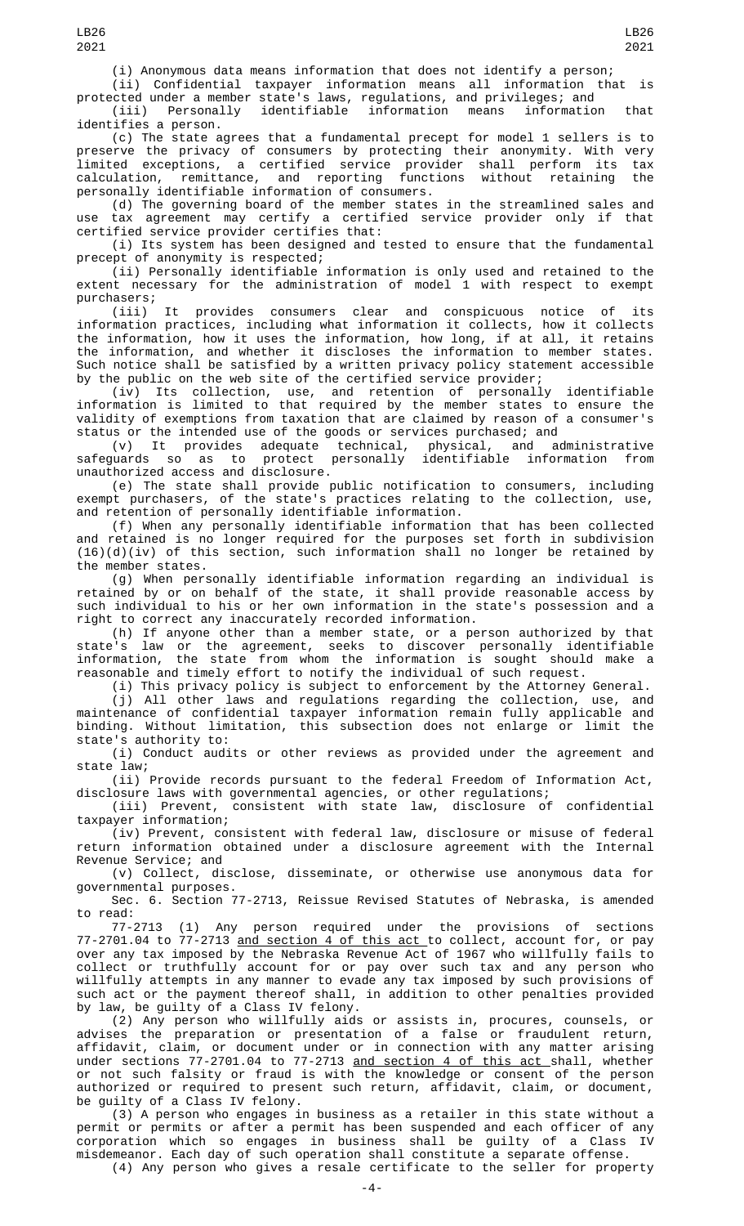(i) Anonymous data means information that does not identify a person;

(ii) Confidential taxpayer information means all information that is protected under a member state's laws, regulations, and privileges; and

(iii) Personally identifiable information means information that identifies a person.

(c) The state agrees that a fundamental precept for model 1 sellers is to preserve the privacy of consumers by protecting their anonymity. With very limited exceptions, a certified service provider shall perform its tax calculation, remittance, and reporting functions without retaining the personally identifiable information of consumers.

(d) The governing board of the member states in the streamlined sales and use tax agreement may certify a certified service provider only if that certified service provider certifies that:

(i) Its system has been designed and tested to ensure that the fundamental precept of anonymity is respected;

(ii) Personally identifiable information is only used and retained to the extent necessary for the administration of model 1 with respect to exempt purchasers;

(iii) It provides consumers clear and conspicuous notice of its information practices, including what information it collects, how it collects the information, how it uses the information, how long, if at all, it retains the information, and whether it discloses the information to member states. Such notice shall be satisfied by a written privacy policy statement accessible by the public on the web site of the certified service provider;

(iv) Its collection, use, and retention of personally identifiable information is limited to that required by the member states to ensure the validity of exemptions from taxation that are claimed by reason of a consumer's status or the intended use of the goods or services purchased; and

(v) It provides adequate technical, physical, and administrative<br>safeguards so as to protect personally identifiable information from identifiable information unauthorized access and disclosure.

(e) The state shall provide public notification to consumers, including exempt purchasers, of the state's practices relating to the collection, use, and retention of personally identifiable information.

(f) When any personally identifiable information that has been collected and retained is no longer required for the purposes set forth in subdivision (16)(d)(iv) of this section, such information shall no longer be retained by the member states.

(g) When personally identifiable information regarding an individual is retained by or on behalf of the state, it shall provide reasonable access by such individual to his or her own information in the state's possession and a right to correct any inaccurately recorded information.

(h) If anyone other than a member state, or a person authorized by that state's law or the agreement, seeks to discover personally identifiable information, the state from whom the information is sought should make a reasonable and timely effort to notify the individual of such request.

(i) This privacy policy is subject to enforcement by the Attorney General.

(j) All other laws and regulations regarding the collection, use, and maintenance of confidential taxpayer information remain fully applicable and binding. Without limitation, this subsection does not enlarge or limit the state's authority to:

(i) Conduct audits or other reviews as provided under the agreement and state law;

(ii) Provide records pursuant to the federal Freedom of Information Act, disclosure laws with governmental agencies, or other regulations;

(iii) Prevent, consistent with state law, disclosure of confidential taxpayer information;

(iv) Prevent, consistent with federal law, disclosure or misuse of federal return information obtained under a disclosure agreement with the Internal Revenue Service; and

(v) Collect, disclose, disseminate, or otherwise use anonymous data for governmental purposes.

Sec. 6. Section 77-2713, Reissue Revised Statutes of Nebraska, is amended to read:

77-2713 (1) Any person required under the provisions of sections 77-2701.04 to 77-2713 <u>and section 4 of this act </u>to collect, account for, or pay over any tax imposed by the Nebraska Revenue Act of 1967 who willfully fails to collect or truthfully account for or pay over such tax and any person who willfully attempts in any manner to evade any tax imposed by such provisions of such act or the payment thereof shall, in addition to other penalties provided by law, be guilty of a Class IV felony.

(2) Any person who willfully aids or assists in, procures, counsels, or advises the preparation or presentation of a false or fraudulent return, affidavit, claim, or document under or in connection with any matter arising under sections 77-2701.04 to 77-2713 <u>and section 4 of this act </u>shall, whether or not such falsity or fraud is with the knowledge or consent of the person authorized or required to present such return, affidavit, claim, or document, be guilty of a Class IV felony.

(3) A person who engages in business as a retailer in this state without a permit or permits or after a permit has been suspended and each officer of any<br>corporation which so engages in business shall be quiltv of a Class TV corporation which so engages in business shall be guilty of a Class IV misdemeanor. Each day of such operation shall constitute a separate offense. (4) Any person who gives a resale certificate to the seller for property